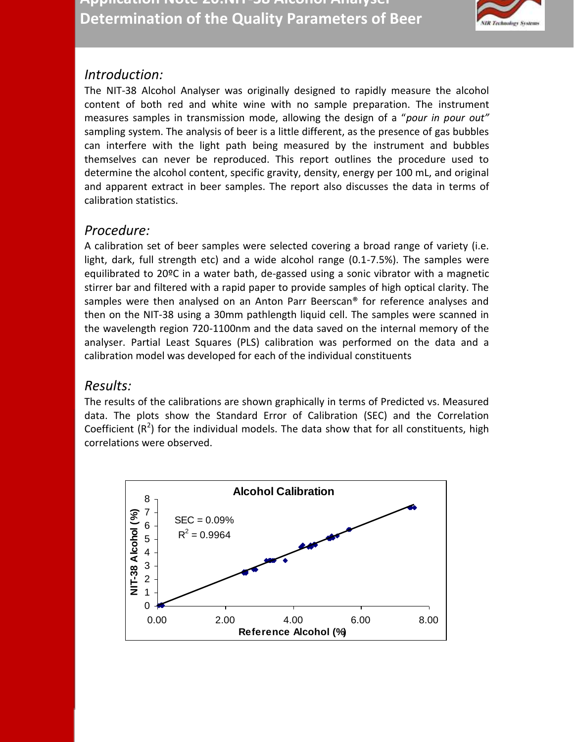

## *Introduction:*

The NIT-38 Alcohol Analyser was originally designed to rapidly measure the alcohol content of both red and white wine with no sample preparation. The instrument measures samples in transmission mode, allowing the design of a "*pour in pour out"* sampling system. The analysis of beer is a little different, as the presence of gas bubbles can interfere with the light path being measured by the instrument and bubbles themselves can never be reproduced. This report outlines the procedure used to determine the alcohol content, specific gravity, density, energy per 100 mL, and original and apparent extract in beer samples. The report also discusses the data in terms of calibration statistics.

## *Procedure:*

A calibration set of beer samples were selected covering a broad range of variety (i.e. light, dark, full strength etc) and a wide alcohol range (0.1-7.5%). The samples were equilibrated to 20ºC in a water bath, de-gassed using a sonic vibrator with a magnetic stirrer bar and filtered with a rapid paper to provide samples of high optical clarity. The samples were then analysed on an Anton Parr Beerscan® for reference analyses and then on the NIT-38 using a 30mm pathlength liquid cell. The samples were scanned in the wavelength region 720-1100nm and the data saved on the internal memory of the analyser. Partial Least Squares (PLS) calibration was performed on the data and a calibration model was developed for each of the individual constituents

## *Results:*

The results of the calibrations are shown graphically in terms of Predicted vs. Measured data. The plots show the Standard Error of Calibration (SEC) and the Correlation Coefficient  $(R^2)$  for the individual models. The data show that for all constituents, high correlations were observed.

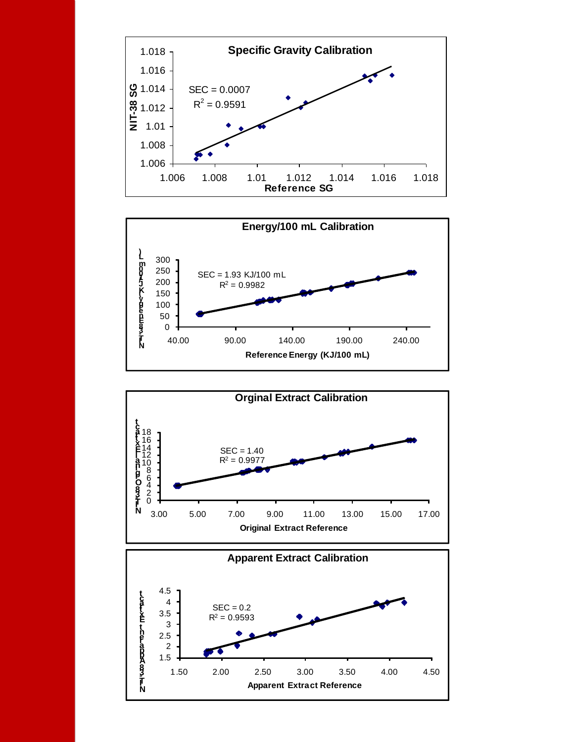